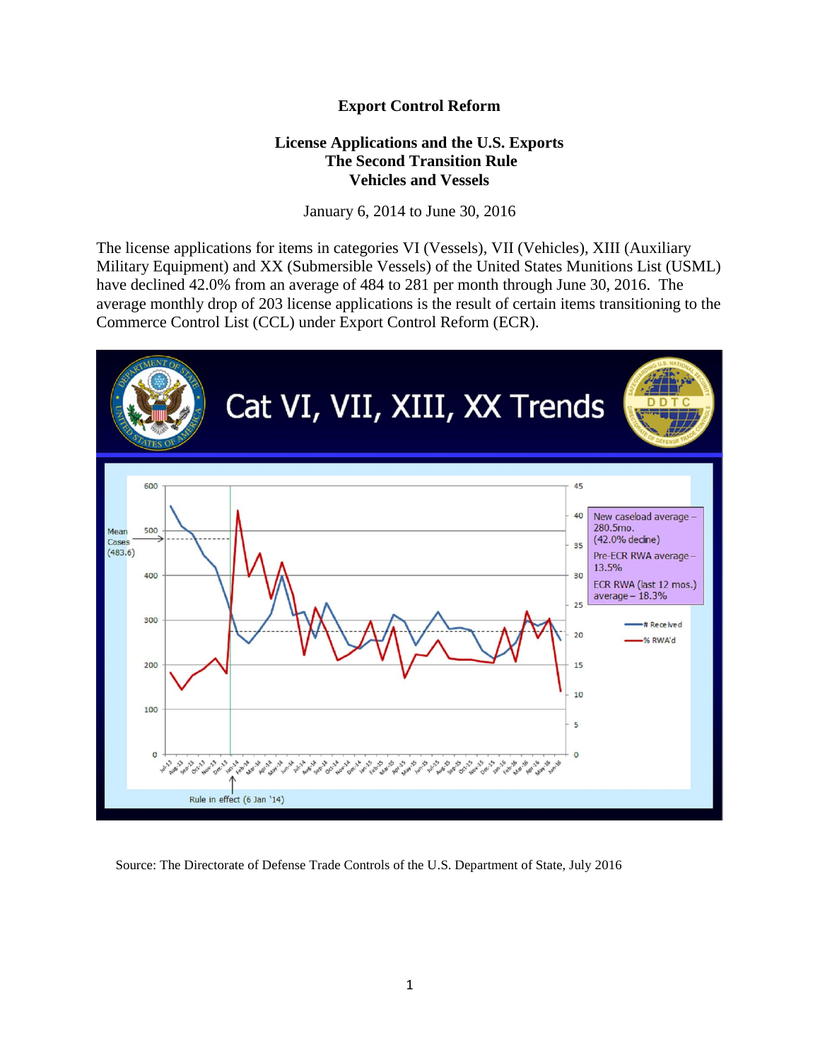## **Export Control Reform**

## **License Applications and the U.S. Exports The Second Transition Rule Vehicles and Vessels**

January 6, 2014 to June 30, 2016

The license applications for items in categories VI (Vessels), VII (Vehicles), XIII (Auxiliary Military Equipment) and XX (Submersible Vessels) of the United States Munitions List (USML) have declined 42.0% from an average of 484 to 281 per month through June 30, 2016. The average monthly drop of 203 license applications is the result of certain items transitioning to the Commerce Control List (CCL) under Export Control Reform (ECR).



Source: The Directorate of Defense Trade Controls of the U.S. Department of State, July 2016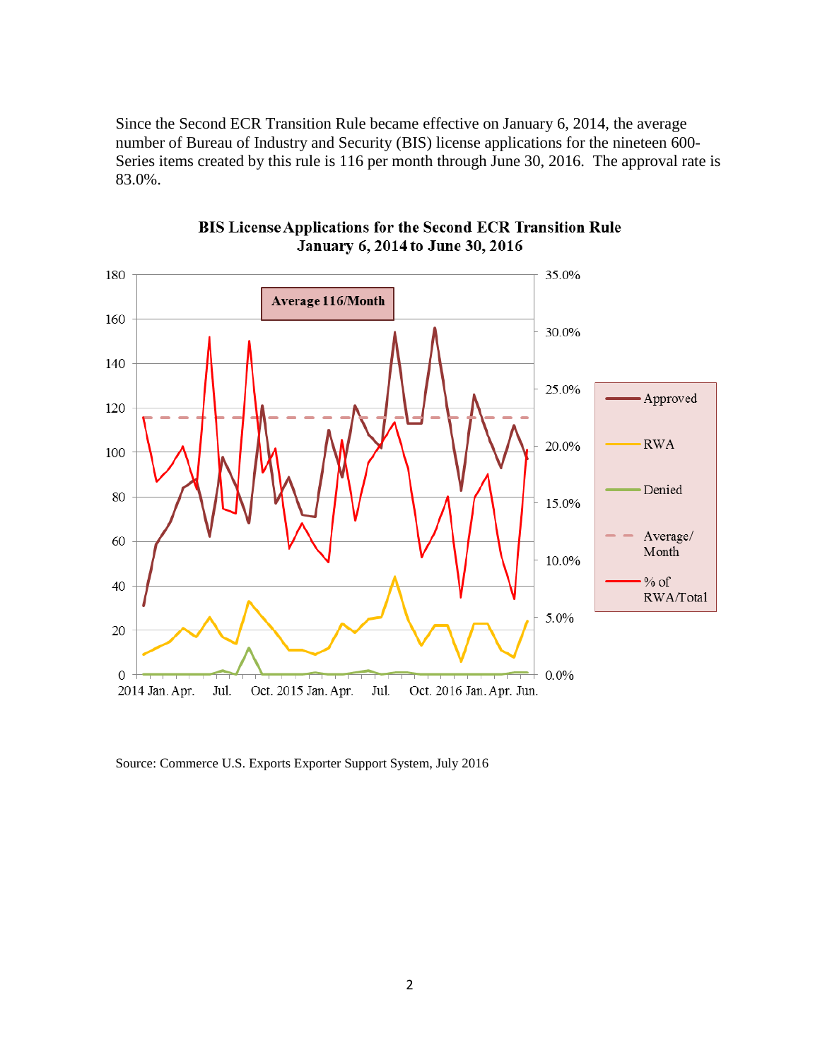Since the Second ECR Transition Rule became effective on January 6, 2014, the average number of Bureau of Industry and Security (BIS) license applications for the nineteen 600- Series items created by this rule is 116 per month through June 30, 2016. The approval rate is 83.0%.



BIS License Applications for the Second ECR Transition Rule January 6, 2014 to June 30, 2016

Source: Commerce U.S. Exports Exporter Support System, July 2016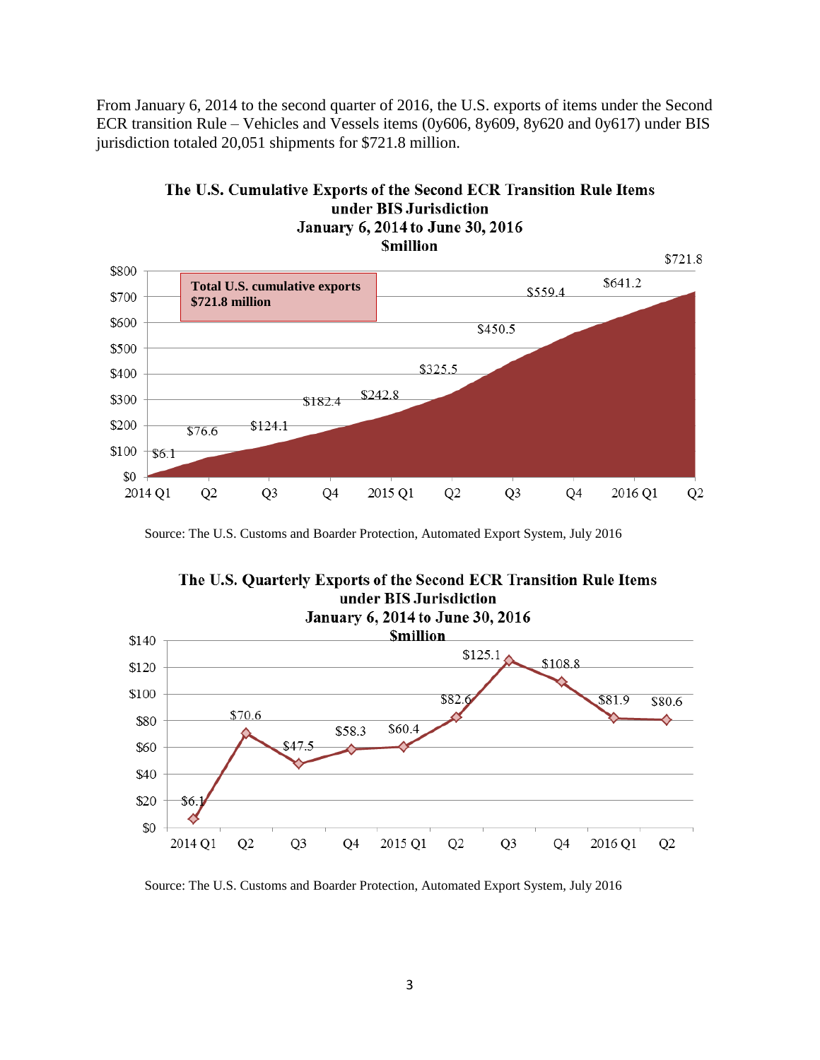From January 6, 2014 to the second quarter of 2016, the U.S. exports of items under the Second ECR transition Rule – Vehicles and Vessels items (0y606, 8y609, 8y620 and 0y617) under BIS jurisdiction totaled 20,051 shipments for \$721.8 million.



## The U.S. Cumulative Exports of the Second ECR Transition Rule Items under BIS Jurisdiction

Source: The U.S. Customs and Boarder Protection, Automated Export System, July 2016



Source: The U.S. Customs and Boarder Protection, Automated Export System, July 2016